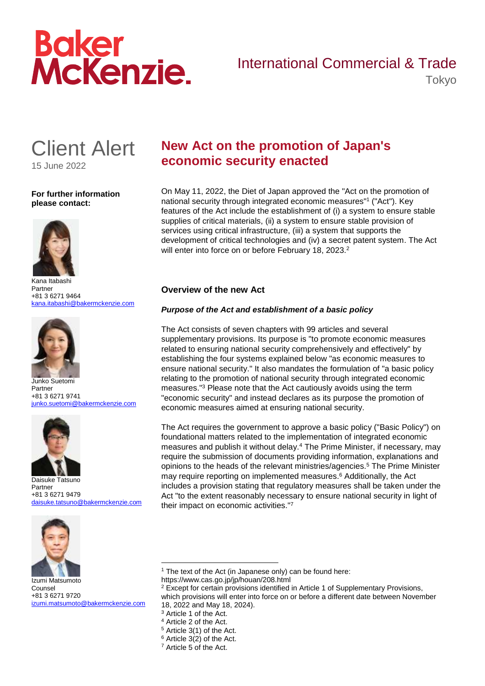

# International Commercial & Trade

Tokyo



# **For further information please contact:**



Kana Itabashi Partner +81 3 6271 9464 [kana.itabashi@bakermckenzie.com](mailto:junko.suetomi@bakermckenzie.com)



Junko Suetomi Partner +81 3 6271 9741 [junko.suetomi@bakermckenzie.com](mailto:junko.suetomi@bakermckenzie.com)



Daisuke Tatsuno Partner +81 3 6271 9479 [daisuke.tatsuno@bakermckenzie.com](mailto:daisuke.tatsuno@bakermckenzie.com)



Izumi Matsumoto Counsel +81 3 6271 9720 [izumi.matsumoto@bakermckenzie.com](mailto:izumi.matsumoto@bakermckenzie.com)

# **New Act on the promotion of Japan's economic security enacted**

On May 11, 2022, the Diet of Japan approved the "Act on the promotion of national security through integrated economic measures" 1 ("Act"). Key features of the Act include the establishment of (i) a system to ensure stable supplies of critical materials, (ii) a system to ensure stable provision of services using critical infrastructure, (iii) a system that supports the development of critical technologies and (iv) a secret patent system. The Act will enter into force on or before February 18, 2023.<sup>2</sup>

# **Overview of the new Act**

## *Purpose of the Act and establishment of a basic policy*

The Act consists of seven chapters with 99 articles and several supplementary provisions. Its purpose is "to promote economic measures related to ensuring national security comprehensively and effectively" by establishing the four systems explained below "as economic measures to ensure national security." It also mandates the formulation of "a basic policy relating to the promotion of national security through integrated economic measures." <sup>3</sup> Please note that the Act cautiously avoids using the term "economic security" and instead declares as its purpose the promotion of economic measures aimed at ensuring national security.

The Act requires the government to approve a basic policy ("Basic Policy") on foundational matters related to the implementation of integrated economic measures and publish it without delay.<sup>4</sup> The Prime Minister, if necessary, may require the submission of documents providing information, explanations and opinions to the heads of the relevant ministries/agencies.<sup>5</sup> The Prime Minister may require reporting on implemented measures. <sup>6</sup> Additionally, the Act includes a provision stating that regulatory measures shall be taken under the Act "to the extent reasonably necessary to ensure national security in light of their impact on economic activities."<sup>7</sup>

 $1$  The text of the Act (in Japanese only) can be found here:

https://www.cas.go.jp/jp/houan/208.html

<sup>3</sup> Article 1 of the Act.

- <sup>4</sup> Article 2 of the Act.
- <sup>5</sup> Article 3(1) of the Act.
- $6$  Article 3(2) of the Act.
- <sup>7</sup> Article 5 of the Act.

<sup>2</sup> Except for certain provisions identified in Article 1 of Supplementary Provisions, which provisions will enter into force on or before a different date between November 18, 2022 and May 18, 2024).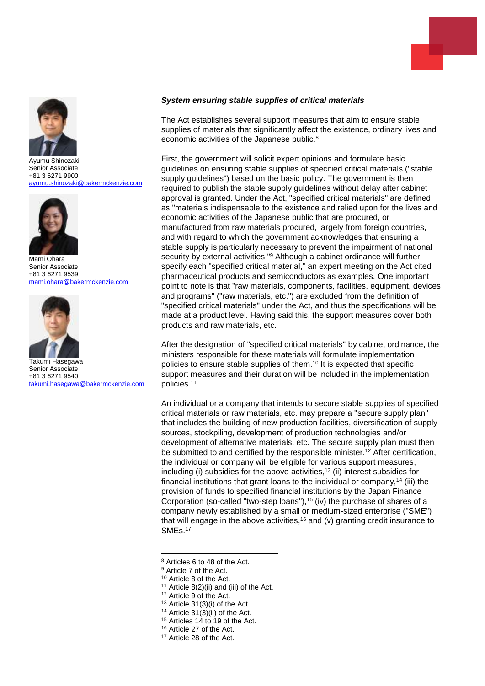

Ayumu Shinozaki Senior Associate +81 3 6271 9900 [ayumu.shinozaki@bakermckenzie.com](mailto:ayumu.shinozaki@bakermckenzie.com)



Mami Ohara Senior Associate +81 3 6271 9539 [mami.ohara@bakermckenzie.com](mailto:mami.ohara@bakermckenzie.com)



Takumi Hasegawa Senior Associate +81 3 6271 9540 [takumi.hasegawa@bakermckenzie.com](mailto:takumi.hasegawa@bakermckenzie.com)

#### *System ensuring stable supplies of critical materials*

The Act establishes several support measures that aim to ensure stable supplies of materials that significantly affect the existence, ordinary lives and economic activities of the Japanese public.<sup>8</sup>

First, the government will solicit expert opinions and formulate basic guidelines on ensuring stable supplies of specified critical materials ("stable supply guidelines") based on the basic policy. The government is then required to publish the stable supply guidelines without delay after cabinet approval is granted. Under the Act, "specified critical materials" are defined as "materials indispensable to the existence and relied upon for the lives and economic activities of the Japanese public that are procured, or manufactured from raw materials procured, largely from foreign countries, and with regard to which the government acknowledges that ensuring a stable supply is particularly necessary to prevent the impairment of national security by external activities."<sup>9</sup> Although a cabinet ordinance will further specify each "specified critical material," an expert meeting on the Act cited pharmaceutical products and semiconductors as examples. One important point to note is that "raw materials, components, facilities, equipment, devices and programs" ("raw materials, etc.") are excluded from the definition of "specified critical materials" under the Act, and thus the specifications will be made at a product level. Having said this, the support measures cover both products and raw materials, etc.

After the designation of "specified critical materials" by cabinet ordinance, the ministers responsible for these materials will formulate implementation policies to ensure stable supplies of them. <sup>10</sup> It is expected that specific support measures and their duration will be included in the implementation policies. 11

An individual or a company that intends to secure stable supplies of specified critical materials or raw materials, etc. may prepare a "secure supply plan" that includes the building of new production facilities, diversification of supply sources, stockpiling, development of production technologies and/or development of alternative materials, etc. The secure supply plan must then be submitted to and certified by the responsible minister.<sup>12</sup> After certification, the individual or company will be eligible for various support measures, including (i) subsidies for the above activities, <sup>13</sup> (ii) interest subsidies for financial institutions that grant loans to the individual or company,<sup>14</sup> (iii) the provision of funds to specified financial institutions by the Japan Finance Corporation (so-called "two-step loans"),<sup>15</sup> (iv) the purchase of shares of a company newly established by a small or medium-sized enterprise ("SME") that will engage in the above activities, <sup>16</sup> and (v) granting credit insurance to SME<sub>s.17</sub>

1

- $11$  Article 8(2)(ii) and (iii) of the Act.
- <sup>12</sup> Article 9 of the Act.
- $13$  Article 31(3)(i) of the Act.
- <sup>14</sup> Article  $31(3)(ii)$  of the Act.
- <sup>15</sup> Articles 14 to 19 of the Act.
- 16 Article 27 of the Act.
- <sup>17</sup> Article 28 of the Act.

<sup>8</sup> Articles 6 to 48 of the Act.

<sup>&</sup>lt;sup>9</sup> Article 7 of the Act.

<sup>10</sup> Article 8 of the Act.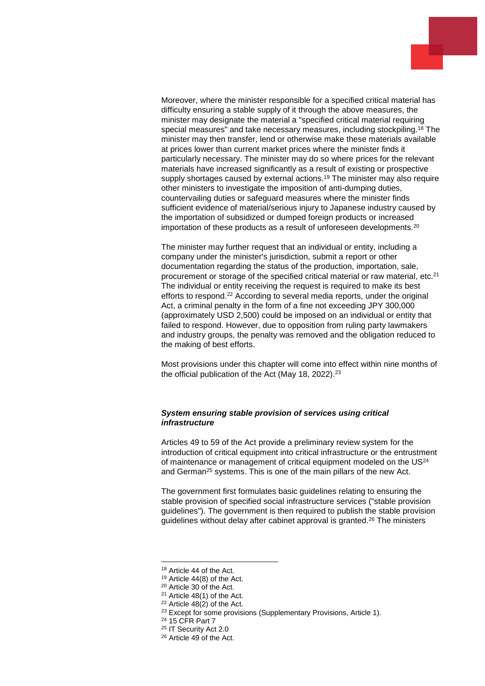Moreover, where the minister responsible for a specified critical material has difficulty ensuring a stable supply of it through the above measures, the minister may designate the material a "specified critical material requiring special measures" and take necessary measures, including stockpiling.<sup>18</sup> The minister may then transfer, lend or otherwise make these materials available at prices lower than current market prices where the minister finds it particularly necessary. The minister may do so where prices for the relevant materials have increased significantly as a result of existing or prospective supply shortages caused by external actions. <sup>19</sup> The minister may also require other ministers to investigate the imposition of anti-dumping duties, countervailing duties or safeguard measures where the minister finds sufficient evidence of material/serious injury to Japanese industry caused by the importation of subsidized or dumped foreign products or increased importation of these products as a result of unforeseen developments.<sup>20</sup>

The minister may further request that an individual or entity, including a company under the minister's jurisdiction, submit a report or other documentation regarding the status of the production, importation, sale, procurement or storage of the specified critical material or raw material, etc.<sup>21</sup> The individual or entity receiving the request is required to make its best efforts to respond.<sup>22</sup> According to several media reports, under the original Act, a criminal penalty in the form of a fine not exceeding JPY 300,000 (approximately USD 2,500) could be imposed on an individual or entity that failed to respond. However, due to opposition from ruling party lawmakers and industry groups, the penalty was removed and the obligation reduced to the making of best efforts.

Most provisions under this chapter will come into effect within nine months of the official publication of the Act (May 18, 2022). 23

### *System ensuring stable provision of services using critical infrastructure*

Articles 49 to 59 of the Act provide a preliminary review system for the introduction of critical equipment into critical infrastructure or the entrustment of maintenance or management of critical equipment modeled on the US<sup>24</sup> and German<sup>25</sup> systems. This is one of the main pillars of the new Act.

The government first formulates basic guidelines relating to ensuring the stable provision of specified social infrastructure services ("stable provision guidelines"). The government is then required to publish the stable provision guidelines without delay after cabinet approval is granted. <sup>26</sup> The ministers

<sup>18</sup> Article 44 of the Act.

<sup>19</sup> Article 44(8) of the Act.

<sup>20</sup> Article 30 of the Act.

<sup>21</sup> Article 48(1) of the Act.

 $22$  Article 48(2) of the Act.

<sup>&</sup>lt;sup>23</sup> Except for some provisions (Supplementary Provisions, Article 1).

<sup>24</sup> 15 CFR Part 7

<sup>25</sup> IT Security Act 2.0

<sup>26</sup> Article 49 of the Act.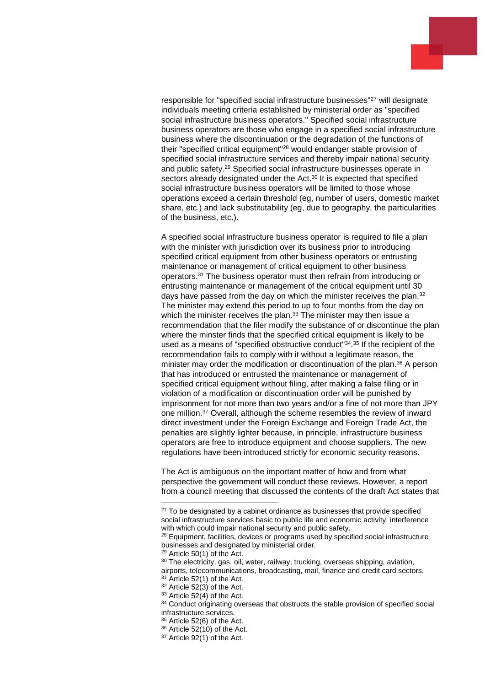responsible for "specified social infrastructure businesses"<sup>27</sup> will designate individuals meeting criteria established by ministerial order as "specified social infrastructure business operators." Specified social infrastructure business operators are those who engage in a specified social infrastructure business where the discontinuation or the degradation of the functions of their "specified critical equipment"<sup>28</sup> would endanger stable provision of specified social infrastructure services and thereby impair national security and public safety. <sup>29</sup> Specified social infrastructure businesses operate in sectors already designated under the Act.<sup>30</sup> It is expected that specified social infrastructure business operators will be limited to those whose operations exceed a certain threshold (eg, number of users, domestic market share, etc.) and lack substitutability (eg, due to geography, the particularities of the business, etc.).

A specified social infrastructure business operator is required to file a plan with the minister with jurisdiction over its business prior to introducing specified critical equipment from other business operators or entrusting maintenance or management of critical equipment to other business operators.<sup>31</sup> The business operator must then refrain from introducing or entrusting maintenance or management of the critical equipment until 30 days have passed from the day on which the minister receives the plan.<sup>32</sup> The minister may extend this period to up to four months from the day on which the minister receives the plan.<sup>33</sup> The minister may then issue a recommendation that the filer modify the substance of or discontinue the plan where the minster finds that the specified critical equipment is likely to be used as a means of "specified obstructive conduct"<sup>34</sup>.<sup>35</sup> If the recipient of the recommendation fails to comply with it without a legitimate reason, the minister may order the modification or discontinuation of the plan.<sup>36</sup> A person that has introduced or entrusted the maintenance or management of specified critical equipment without filing, after making a false filing or in violation of a modification or discontinuation order will be punished by imprisonment for not more than two years and/or a fine of not more than JPY one million. <sup>37</sup> Overall, although the scheme resembles the review of inward direct investment under the Foreign Exchange and Foreign Trade Act, the penalties are slightly lighter because, in principle, infrastructure business operators are free to introduce equipment and choose suppliers. The new regulations have been introduced strictly for economic security reasons.

The Act is ambiguous on the important matter of how and from what perspective the government will conduct these reviews. However, a report from a council meeting that discussed the contents of the draft Act states that

 $29$  Article 50(1) of the Act.

 $27$  To be designated by a cabinet ordinance as businesses that provide specified social infrastructure services basic to public life and economic activity, interference with which could impair national security and public safety.

<sup>&</sup>lt;sup>28</sup> Equipment, facilities, devices or programs used by specified social infrastructure businesses and designated by ministerial order.

<sup>&</sup>lt;sup>30</sup> The electricity, gas, oil, water, railway, trucking, overseas shipping, aviation, airports, telecommunications, broadcasting, mail, finance and credit card sectors. <sup>31</sup> Article 52(1) of the Act.

 $32$  Article 52(3) of the Act.

 $33$  Article 52(4) of the Act.

<sup>&</sup>lt;sup>34</sup> Conduct originating overseas that obstructs the stable provision of specified social infrastructure services.

<sup>35</sup> Article 52(6) of the Act.

 $36$  Article 52(10) of the Act.

<sup>37</sup> Article 92(1) of the Act.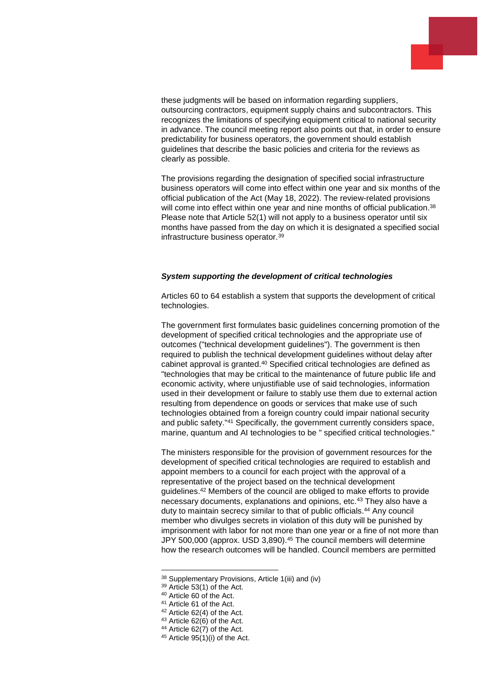

these judgments will be based on information regarding suppliers, outsourcing contractors, equipment supply chains and subcontractors. This recognizes the limitations of specifying equipment critical to national security in advance. The council meeting report also points out that, in order to ensure predictability for business operators, the government should establish guidelines that describe the basic policies and criteria for the reviews as clearly as possible.

The provisions regarding the designation of specified social infrastructure business operators will come into effect within one year and six months of the official publication of the Act (May 18, 2022). The review-related provisions will come into effect within one year and nine months of official publication.<sup>38</sup> Please note that Article 52(1) will not apply to a business operator until six months have passed from the day on which it is designated a specified social infrastructure business operator.<sup>39</sup>

#### *System supporting the development of critical technologies*

Articles 60 to 64 establish a system that supports the development of critical technologies.

The government first formulates basic guidelines concerning promotion of the development of specified critical technologies and the appropriate use of outcomes ("technical development guidelines"). The government is then required to publish the technical development guidelines without delay after cabinet approval is granted. <sup>40</sup> Specified critical technologies are defined as "technologies that may be critical to the maintenance of future public life and economic activity, where unjustifiable use of said technologies, information used in their development or failure to stably use them due to external action resulting from dependence on goods or services that make use of such technologies obtained from a foreign country could impair national security and public safety." <sup>41</sup> Specifically, the government currently considers space, marine, quantum and AI technologies to be " specified critical technologies."

The ministers responsible for the provision of government resources for the development of specified critical technologies are required to establish and appoint members to a council for each project with the approval of a representative of the project based on the technical development guidelines. <sup>42</sup> Members of the council are obliged to make efforts to provide necessary documents, explanations and opinions, etc.<sup>43</sup> They also have a duty to maintain secrecy similar to that of public officials. <sup>44</sup> Any council member who divulges secrets in violation of this duty will be punished by imprisonment with labor for not more than one year or a fine of not more than JPY 500,000 (approx. USD 3,890). <sup>45</sup> The council members will determine how the research outcomes will be handled. Council members are permitted

1

- <sup>42</sup> Article 62(4) of the Act.
- <sup>43</sup> Article 62(6) of the Act.
- <sup>44</sup> Article 62(7) of the Act.

<sup>38</sup> Supplementary Provisions, Article 1(iii) and (iv)

<sup>39</sup> Article 53(1) of the Act.

<sup>40</sup> Article 60 of the Act.

<sup>41</sup> Article 61 of the Act.

 $45$  Article 95(1)(i) of the Act.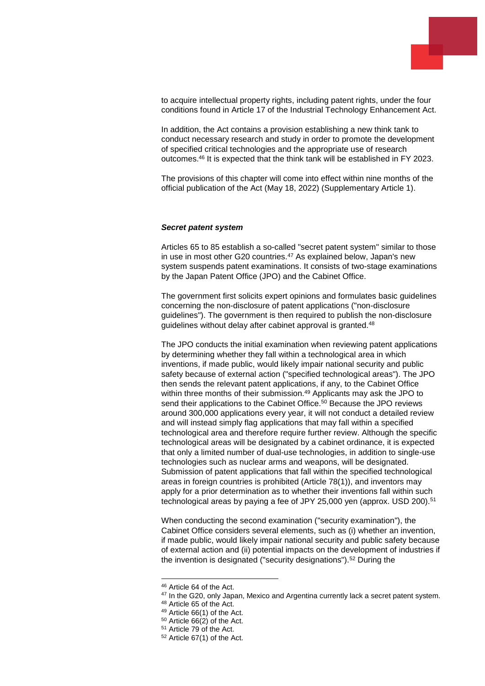

to acquire intellectual property rights, including patent rights, under the four conditions found in Article 17 of the Industrial Technology Enhancement Act.

In addition, the Act contains a provision establishing a new think tank to conduct necessary research and study in order to promote the development of specified critical technologies and the appropriate use of research outcomes.<sup>46</sup> It is expected that the think tank will be established in FY 2023.

The provisions of this chapter will come into effect within nine months of the official publication of the Act (May 18, 2022) (Supplementary Article 1).

#### *Secret patent system*

Articles 65 to 85 establish a so-called "secret patent system" similar to those in use in most other G20 countries.<sup>47</sup> As explained below, Japan's new system suspends patent examinations. It consists of two-stage examinations by the Japan Patent Office (JPO) and the Cabinet Office.

The government first solicits expert opinions and formulates basic guidelines concerning the non-disclosure of patent applications ("non-disclosure guidelines"). The government is then required to publish the non-disclosure guidelines without delay after cabinet approval is granted.<sup>48</sup>

The JPO conducts the initial examination when reviewing patent applications by determining whether they fall within a technological area in which inventions, if made public, would likely impair national security and public safety because of external action ("specified technological areas"). The JPO then sends the relevant patent applications, if any, to the Cabinet Office within three months of their submission. <sup>49</sup> Applicants may ask the JPO to send their applications to the Cabinet Office.<sup>50</sup> Because the JPO reviews around 300,000 applications every year, it will not conduct a detailed review and will instead simply flag applications that may fall within a specified technological area and therefore require further review. Although the specific technological areas will be designated by a cabinet ordinance, it is expected that only a limited number of dual-use technologies, in addition to single-use technologies such as nuclear arms and weapons, will be designated. Submission of patent applications that fall within the specified technological areas in foreign countries is prohibited (Article 78(1)), and inventors may apply for a prior determination as to whether their inventions fall within such technological areas by paying a fee of JPY 25,000 yen (approx. USD 200).<sup>51</sup>

When conducting the second examination ("security examination"), the Cabinet Office considers several elements, such as (i) whether an invention, if made public, would likely impair national security and public safety because of external action and (ii) potential impacts on the development of industries if the invention is designated ("security designations").<sup>52</sup> During the

1

<sup>46</sup> Article 64 of the Act.

 $47$  In the G20, only Japan, Mexico and Argentina currently lack a secret patent system.

<sup>48</sup> Article 65 of the Act.

<sup>49</sup> Article 66(1) of the Act.

<sup>50</sup> Article 66(2) of the Act.

<sup>51</sup> Article 79 of the Act.

<sup>52</sup> Article 67(1) of the Act.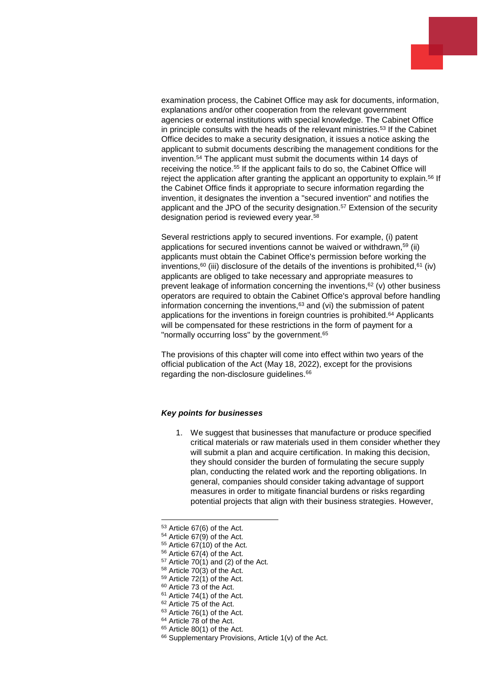examination process, the Cabinet Office may ask for documents, information, explanations and/or other cooperation from the relevant government agencies or external institutions with special knowledge. The Cabinet Office in principle consults with the heads of the relevant ministries.<sup>53</sup> If the Cabinet Office decides to make a security designation, it issues a notice asking the applicant to submit documents describing the management conditions for the invention.<sup>54</sup> The applicant must submit the documents within 14 days of receiving the notice.<sup>55</sup> If the applicant fails to do so, the Cabinet Office will reject the application after granting the applicant an opportunity to explain.<sup>56</sup> If the Cabinet Office finds it appropriate to secure information regarding the invention, it designates the invention a "secured invention" and notifies the applicant and the JPO of the security designation.<sup>57</sup> Extension of the security designation period is reviewed every year.<sup>58</sup>

Several restrictions apply to secured inventions. For example, (i) patent applications for secured inventions cannot be waived or withdrawn, <sup>59</sup> (ii) applicants must obtain the Cabinet Office's permission before working the inventions,  $60$  (iii) disclosure of the details of the inventions is prohibited,  $61$  (iv) applicants are obliged to take necessary and appropriate measures to prevent leakage of information concerning the inventions, $62$  (v) other business operators are required to obtain the Cabinet Office's approval before handling information concerning the inventions, $63$  and (vi) the submission of patent applications for the inventions in foreign countries is prohibited.<sup>64</sup> Applicants will be compensated for these restrictions in the form of payment for a "normally occurring loss" by the government.<sup>65</sup>

The provisions of this chapter will come into effect within two years of the official publication of the Act (May 18, 2022), except for the provisions regarding the non-disclosure guidelines. 66

#### *Key points for businesses*

1. We suggest that businesses that manufacture or produce specified critical materials or raw materials used in them consider whether they will submit a plan and acquire certification. In making this decision, they should consider the burden of formulating the secure supply plan, conducting the related work and the reporting obligations. In general, companies should consider taking advantage of support measures in order to mitigate financial burdens or risks regarding potential projects that align with their business strategies. However,

<sup>53</sup> Article 67(6) of the Act.

<sup>54</sup> Article 67(9) of the Act.

 $55$  Article 67(10) of the Act.

<sup>56</sup> Article 67(4) of the Act.

 $57$  Article  $70(1)$  and (2) of the Act.

<sup>58</sup> Article 70(3) of the Act.

 $59$  Article 72(1) of the Act.

<sup>60</sup> Article 73 of the Act. <sup>61</sup> Article 74(1) of the Act.

<sup>62</sup> Article 75 of the Act.

<sup>&</sup>lt;sup>63</sup> Article 76(1) of the Act.

<sup>&</sup>lt;sup>64</sup> Article 78 of the Act.

<sup>&</sup>lt;sup>65</sup> Article 80(1) of the Act.

 $66$  Supplementary Provisions, Article 1(v) of the Act.